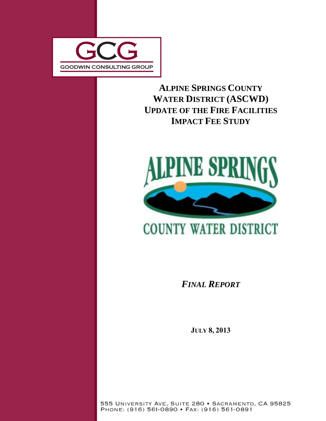

# **ALPINE SPRINGS COUNTY WATER DISTRICT (ASCWD) UPDATE OF THE FIRE FACILITIES IMPACT FEE STUDY**



# **COUNTY WATER DISTRICT**

*FINAL REPORT*

**JULY 8, 2013** 

555 UNIVERSITY AVE, SUITE 280 · SACRAMENTO, CA 95825 PHONE: (916) 561-0890 • FAX: (916) 561-0891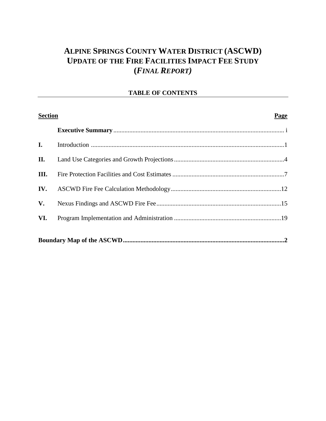# **ALPINE SPRINGS COUNTY WATER DISTRICT (ASCWD) UPDATE OF THE FIRE FACILITIES IMPACT FEE STUDY (***FINAL REPORT)*

# **TABLE OF CONTENTS**

| <b>Section</b> | Page |
|----------------|------|
|                |      |
| I.             |      |
| II.            |      |
| III.           |      |
| IV.            |      |
| V.             |      |
| VI.            |      |
|                |      |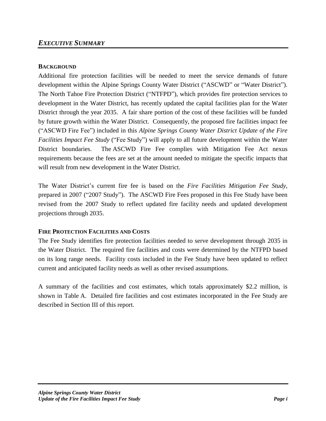# *EXECUTIVE SUMMARY*

#### **BACKGROUND**

Additional fire protection facilities will be needed to meet the service demands of future development within the Alpine Springs County Water District ("ASCWD" or "Water District"). The North Tahoe Fire Protection District ("NTFPD"), which provides fire protection services to development in the Water District, has recently updated the capital facilities plan for the Water District through the year 2035. A fair share portion of the cost of these facilities will be funded by future growth within the Water District. Consequently, the proposed fire facilities impact fee ("ASCWD Fire Fee") included in this *Alpine Springs County Water District Update of the Fire Facilities Impact Fee Study* ("Fee Study") will apply to all future development within the Water District boundaries. The ASCWD Fire Fee complies with Mitigation Fee Act nexus requirements because the fees are set at the amount needed to mitigate the specific impacts that will result from new development in the Water District.

The Water District's current fire fee is based on the *Fire Facilities Mitigation Fee Study*, prepared in 2007 ("2007 Study"). The ASCWD Fire Fees proposed in this Fee Study have been revised from the 2007 Study to reflect updated fire facility needs and updated development projections through 2035.

## **FIRE PROTECTION FACILITIES AND COSTS**

The Fee Study identifies fire protection facilities needed to serve development through 2035 in the Water District. The required fire facilities and costs were determined by the NTFPD based on its long range needs. Facility costs included in the Fee Study have been updated to reflect current and anticipated facility needs as well as other revised assumptions.

A summary of the facilities and cost estimates, which totals approximately \$2.2 million, is shown in Table A. Detailed fire facilities and cost estimates incorporated in the Fee Study are described in Section III of this report.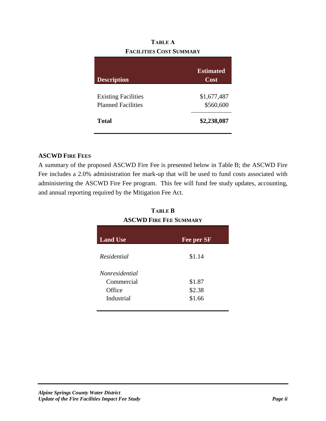# **TABLE A FACILITIES COST SUMMARY**

| <b>Description</b>                                      | <b>Estimated</b><br>Cost |
|---------------------------------------------------------|--------------------------|
| <b>Existing Facilities</b><br><b>Planned Facilities</b> | \$1,677,487<br>\$560,600 |
| <b>Total</b>                                            | \$2,238,087              |

# **ASCWD FIRE FEES**

A summary of the proposed ASCWD Fire Fee is presented below in Table B; the ASCWD Fire Fee includes a 2.0% administration fee mark-up that will be used to fund costs associated with administering the ASCWD Fire Fee program. This fee will fund fee study updates, accounting, and annual reporting required by the Mitigation Fee Act.

| <b>ASCWD FIRE FEE SUMMARY</b> |            |  |  |  |
|-------------------------------|------------|--|--|--|
| <b>Land Use</b>               | Fee per SF |  |  |  |
| Residential                   | \$1.14     |  |  |  |
| <i>Nonresidential</i>         |            |  |  |  |
| Commercial                    | \$1.87     |  |  |  |
| Office                        | \$2.38     |  |  |  |
| Industrial                    | \$1.66     |  |  |  |

**TABLE B**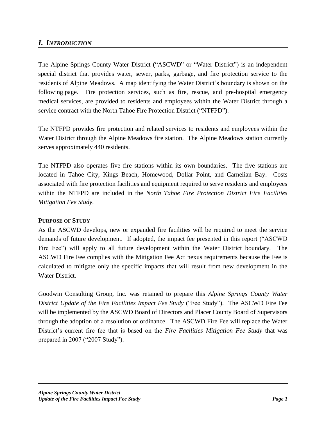# *I. INTRODUCTION*

The Alpine Springs County Water District ("ASCWD" or "Water District") is an independent special district that provides water, sewer, parks, garbage, and fire protection service to the residents of Alpine Meadows. A map identifying the Water District's boundary is shown on the following page. Fire protection services, such as fire, rescue, and pre-hospital emergency medical services, are provided to residents and employees within the Water District through a service contract with the North Tahoe Fire Protection District ("NTFPD").

The NTFPD provides fire protection and related services to residents and employees within the Water District through the Alpine Meadows fire station. The Alpine Meadows station currently serves approximately 440 residents.

The NTFPD also operates five fire stations within its own boundaries. The five stations are located in Tahoe City, Kings Beach, Homewood, Dollar Point, and Carnelian Bay. Costs associated with fire protection facilities and equipment required to serve residents and employees within the NTFPD are included in the *North Tahoe Fire Protection District Fire Facilities Mitigation Fee Study*.

## **PURPOSE OF STUDY**

As the ASCWD develops, new or expanded fire facilities will be required to meet the service demands of future development. If adopted, the impact fee presented in this report ("ASCWD Fire Fee") will apply to all future development within the Water District boundary. The ASCWD Fire Fee complies with the Mitigation Fee Act nexus requirements because the Fee is calculated to mitigate only the specific impacts that will result from new development in the Water District.

Goodwin Consulting Group, Inc. was retained to prepare this *Alpine Springs County Water District Update of the Fire Facilities Impact Fee Study* ("Fee Study"). The ASCWD Fire Fee will be implemented by the ASCWD Board of Directors and Placer County Board of Supervisors through the adoption of a resolution or ordinance. The ASCWD Fire Fee will replace the Water District's current fire fee that is based on the *Fire Facilities Mitigation Fee Study* that was prepared in 2007 ("2007 Study").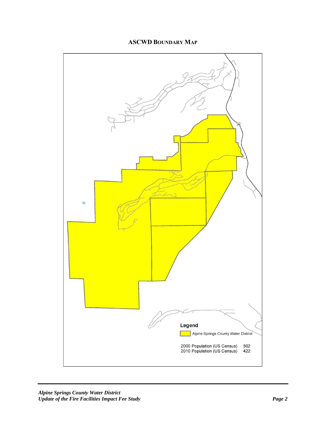# **ASCWD BOUNDARY MAP**

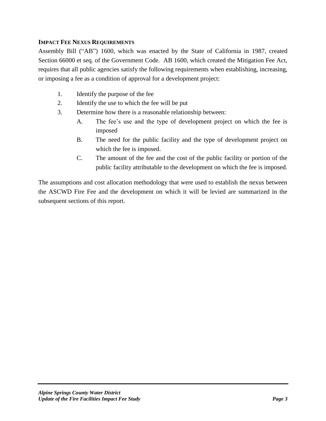# **IMPACT FEE NEXUS REQUIREMENTS**

Assembly Bill ("AB") 1600, which was enacted by the State of California in 1987, created Section 66000 et seq. of the Government Code. AB 1600, which created the Mitigation Fee Act, requires that all public agencies satisfy the following requirements when establishing, increasing, or imposing a fee as a condition of approval for a development project:

- 1. Identify the purpose of the fee
- 2. Identify the use to which the fee will be put
- 3. Determine how there is a reasonable relationship between:
	- A. The fee's use and the type of development project on which the fee is imposed
	- B. The need for the public facility and the type of development project on which the fee is imposed.
	- C. The amount of the fee and the cost of the public facility or portion of the public facility attributable to the development on which the fee is imposed.

The assumptions and cost allocation methodology that were used to establish the nexus between the ASCWD Fire Fee and the development on which it will be levied are summarized in the subsequent sections of this report.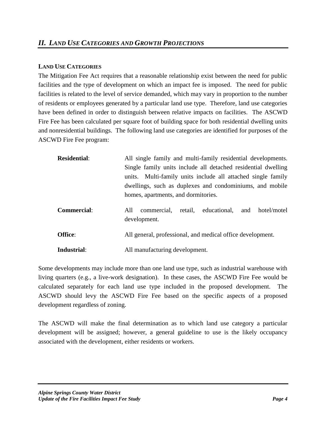#### **LAND USE CATEGORIES**

The Mitigation Fee Act requires that a reasonable relationship exist between the need for public facilities and the type of development on which an impact fee is imposed. The need for public facilities is related to the level of service demanded, which may vary in proportion to the number of residents or employees generated by a particular land use type. Therefore, land use categories have been defined in order to distinguish between relative impacts on facilities. The ASCWD Fire Fee has been calculated per square foot of building space for both residential dwelling units and nonresidential buildings. The following land use categories are identified for purposes of the ASCWD Fire Fee program:

| <b>Residential:</b> | All single family and multi-family residential developments.<br>Single family units include all detached residential dwelling<br>units. Multi-family units include all attached single family<br>dwellings, such as duplexes and condominiums, and mobile<br>homes, apartments, and dormitories. |  |  |  |  |  |
|---------------------|--------------------------------------------------------------------------------------------------------------------------------------------------------------------------------------------------------------------------------------------------------------------------------------------------|--|--|--|--|--|
| <b>Commercial:</b>  | retail, educational, and hotel/motel<br>All<br>commercial,<br>development.                                                                                                                                                                                                                       |  |  |  |  |  |
| Office:             | All general, professional, and medical office development.                                                                                                                                                                                                                                       |  |  |  |  |  |
| Industrial:         | All manufacturing development.                                                                                                                                                                                                                                                                   |  |  |  |  |  |

Some developments may include more than one land use type, such as industrial warehouse with living quarters (e.g., a live-work designation). In these cases, the ASCWD Fire Fee would be calculated separately for each land use type included in the proposed development. The ASCWD should levy the ASCWD Fire Fee based on the specific aspects of a proposed development regardless of zoning.

The ASCWD will make the final determination as to which land use category a particular development will be assigned; however, a general guideline to use is the likely occupancy associated with the development, either residents or workers.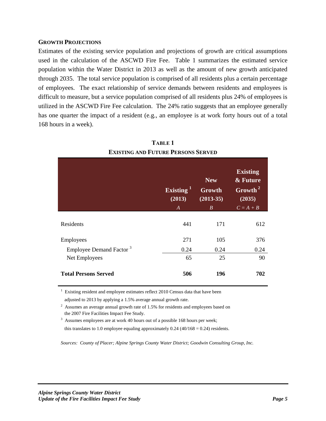#### **GROWTH PROJECTIONS**

Estimates of the existing service population and projections of growth are critical assumptions used in the calculation of the ASCWD Fire Fee. Table 1 summarizes the estimated service population within the Water District in 2013 as well as the amount of new growth anticipated through 2035. The total service population is comprised of all residents plus a certain percentage of employees. The exact relationship of service demands between residents and employees is difficult to measure, but a service population comprised of all residents plus 24% of employees is utilized in the ASCWD Fire Fee calculation. The 24% ratio suggests that an employee generally has one quarter the impact of a resident (e.g., an employee is at work forty hours out of a total 168 hours in a week).

|                                     | Existing <sup>1</sup><br>(2013)<br>$\boldsymbol{A}$ | <b>New</b><br>Growth<br>$(2013-35)$<br>$\boldsymbol{B}$ | <b>Existing</b><br>& Future<br>$\overline{\text{Growth}}^2$<br>(2035)<br>$C = A + B$ |  |  |
|-------------------------------------|-----------------------------------------------------|---------------------------------------------------------|--------------------------------------------------------------------------------------|--|--|
| Residents                           | 441                                                 | 171                                                     | 612                                                                                  |  |  |
| Employees                           | 271                                                 | 105                                                     | 376                                                                                  |  |  |
| Employee Demand Factor <sup>3</sup> | 0.24                                                | 0.24                                                    | 0.24                                                                                 |  |  |
| Net Employees                       | 65                                                  | 25                                                      | 90                                                                                   |  |  |
| <b>Total Persons Served</b>         | 506                                                 | 196                                                     | 702                                                                                  |  |  |

**TABLE 1 EXISTING AND FUTURE PERSONS SERVED**

1 Existing resident and employee estimates reflect 2010 Census data that have been

adjusted to 2013 by applying a 1.5% average annual growth rate.

 $2$  Assumes an average annual growth rate of 1.5% for residents and employees based on the 2007 Fire Facilities Impact Fee Study.

<sup>3</sup> Assumes employees are at work 40 hours out of a possible 168 hours per week;

this translates to 1.0 employee equaling approximately  $0.24$  (40/168 = 0.24) residents.

*Sources: County of Placer; Alpine Springs County Water District; Goodwin Consulting Group, Inc.*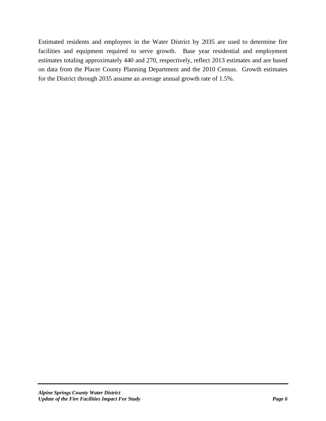Estimated residents and employees in the Water District by 2035 are used to determine fire facilities and equipment required to serve growth. Base year residential and employment estimates totaling approximately 440 and 270, respectively, reflect 2013 estimates and are based on data from the Placer County Planning Department and the 2010 Census. Growth estimates for the District through 2035 assume an average annual growth rate of 1.5%.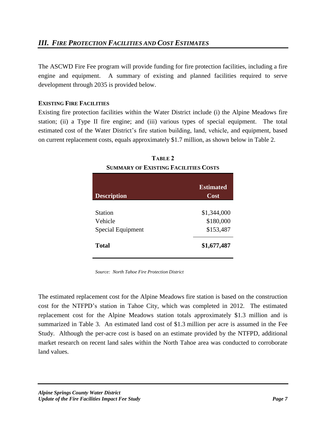The ASCWD Fire Fee program will provide funding for fire protection facilities, including a fire engine and equipment. A summary of existing and planned facilities required to serve development through 2035 is provided below.

# **EXISTING FIRE FACILITIES**

Existing fire protection facilities within the Water District include (i) the Alpine Meadows fire station; (ii) a Type II fire engine; and (iii) various types of special equipment. The total estimated cost of the Water District's fire station building, land, vehicle, and equipment, based on current replacement costs, equals approximately \$1.7 million, as shown below in Table 2.

| TABLE 2                                     |
|---------------------------------------------|
| <b>SUMMARY OF EXISTING FACILITIES COSTS</b> |

| <b>Description</b>       | <b>Estimated</b><br>Cost |
|--------------------------|--------------------------|
| <b>Station</b>           | \$1,344,000              |
| Vehicle                  | \$180,000                |
| <b>Special Equipment</b> | \$153,487                |
| <b>Total</b>             | \$1,677,487              |

*Source: North Tahoe Fire Protection District*

The estimated replacement cost for the Alpine Meadows fire station is based on the construction cost for the NTFPD's station in Tahoe City, which was completed in 2012. The estimated replacement cost for the Alpine Meadows station totals approximately \$1.3 million and is summarized in Table 3. An estimated land cost of \$1.3 million per acre is assumed in the Fee Study. Although the per-acre cost is based on an estimate provided by the NTFPD, additional market research on recent land sales within the North Tahoe area was conducted to corroborate land values.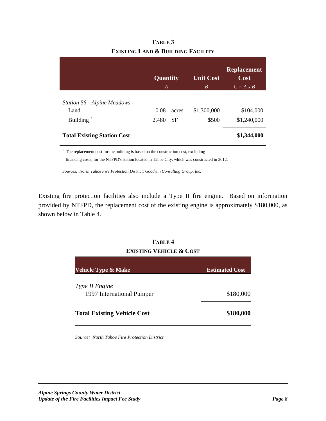|                                    | Quantity<br>A      | <b>Unit Cost</b><br>B | <b>Replacement</b><br>$\overline{\text{Cost}}$<br>$C = A x B$ |
|------------------------------------|--------------------|-----------------------|---------------------------------------------------------------|
| <b>Station 56 - Alpine Meadows</b> |                    |                       |                                                               |
| Land                               | 0.08<br>acres      | \$1,300,000           | \$104,000                                                     |
| Building $2$                       | 2,480<br><b>SF</b> | \$500                 | \$1,240,000                                                   |
| <b>Total Existing Station Cost</b> |                    |                       | \$1,344,000                                                   |

| <b>TABLE 3</b>                    |
|-----------------------------------|
| Existing Land & Building Facility |

<sup>1</sup> The replacement cost for the building is based on the construction cost, excluding

financing costs, for the NTFPD's station located in Tahoe City, which was constructed in 2012.

*Sources: North Tahoe Fire Protection District; Goodwin Consulting Group, Inc.*

Existing fire protection facilities also include a Type II fire engine. Based on information provided by NTFPD, the replacement cost of the existing engine is approximately \$180,000, as shown below in Table 4.

# **TABLE 4 EXISTING VEHICLE & COST**

| <b>Vehicle Type &amp; Make</b>              | <b>Estimated Cost</b> |
|---------------------------------------------|-----------------------|
| Type II Engine<br>1997 International Pumper | \$180,000             |
| <b>Total Existing Vehicle Cost</b>          | \$180,000             |

*Source: North Tahoe Fire Protection District*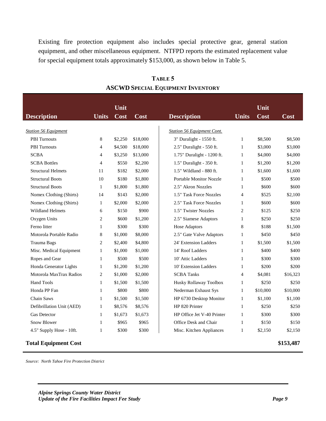Existing fire protection equipment also includes special protective gear, general station equipment, and other miscellaneous equipment. NTFPD reports the estimated replacement value for special equipment totals approximately \$153,000, as shown below in Table 5.

|                             |                | Unit    |          |                                   |                | Unit     |           |
|-----------------------------|----------------|---------|----------|-----------------------------------|----------------|----------|-----------|
| <b>Description</b>          | <b>Units</b>   | Cost    | Cost     | <b>Description</b>                | <b>Units</b>   | Cost     | Cost      |
|                             |                |         |          |                                   |                |          |           |
| <b>Station 56 Equipment</b> |                |         |          | <b>Station 56 Equipment Cont.</b> |                |          |           |
| <b>PBI</b> Turnouts         | 8              | \$2,250 | \$18,000 | 3" Duralight - 1550 ft.           | 1              | \$8,500  | \$8,500   |
| <b>PBI</b> Turnouts         | 4              | \$4,500 | \$18,000 | 2.5" Duralight - 550 ft.          | $\mathbf{1}$   | \$3,000  | \$3,000   |
| <b>SCBA</b>                 | $\overline{4}$ | \$3,250 | \$13,000 | 1.75" Duralight - 1200 ft.        | 1              | \$4,000  | \$4,000   |
| <b>SCBA Bottles</b>         | 4              | \$550   | \$2,200  | 1.5" Duralight - 350 ft.          | 1              | \$1,200  | \$1,200   |
| <b>Structural Helmets</b>   | 11             | \$182   | \$2,000  | 1.5" Wildland - 880 ft.           | 1              | \$1,600  | \$1,600   |
| <b>Structural Boots</b>     | 10             | \$180   | \$1,800  | <b>Portable Monitor Nozzle</b>    | $\mathbf{1}$   | \$500    | \$500     |
| <b>Structural Boots</b>     | $\mathbf{1}$   | \$1,800 | \$1,800  | 2.5" Akron Nozzles                | 1              | \$600    | \$600     |
| Nomex Clothing (Shirts)     | 14             | \$143   | \$2,000  | 1.5" Task Force Nozzles           | 4              | \$525    | \$2,100   |
| Nomex Clothing (Shirts)     | $\mathbf{1}$   | \$2,000 | \$2,000  | 2.5" Task Force Nozzles           | 1              | \$600    | \$600     |
| <b>Wildland Helmets</b>     | 6              | \$150   | \$900    | 1.5" Twister Nozzles              | 2              | \$125    | \$250     |
| Oxygen Units                | 2              | \$600   | \$1,200  | 2.5" Siamese Adaptors             | 1              | \$250    | \$250     |
| Ferno litter                | 1              | \$300   | \$300    | <b>Hose Adaptors</b>              | 8              | \$188    | \$1,500   |
| Motorola Portable Radio     | 8              | \$1,000 | \$8,000  | 2.5" Gate Valve Adaptors          | $\mathbf{1}$   | \$450    | \$450     |
| Trauma Bags                 | $\overline{2}$ | \$2,400 | \$4,800  | 24' Extension Ladders             | 1              | \$1,500  | \$1,500   |
| Misc. Medical Equipment     | 1              | \$1,000 | \$1,000  | 14' Roof Ladders                  | $\mathbf{1}$   | \$400    | \$400     |
| Ropes and Gear              | 1              | \$500   | \$500    | 10' Attic Ladders                 | 1              | \$300    | \$300     |
| Honda Generator Lights      | 1              | \$1,200 | \$1,200  | 10' Extension Ladders             | 1              | \$200    | \$200     |
| Motorola MaxTrax Radios     | 2              | \$1,000 | \$2,000  | <b>SCBA Tanks</b>                 | $\overline{4}$ | \$4,081  | \$16,323  |
| Hand Tools                  | $\mathbf{1}$   | \$1,500 | \$1,500  | Husky Rollaway Toolbox            | 1              | \$250    | \$250     |
| Honda PP Fan                | 1              | \$800   | \$800    | Nederman Exhaust Sys              | $\mathbf{1}$   | \$10,000 | \$10,000  |
| Chain Saws                  | 1              | \$1,500 | \$1,500  | HP 6730 Desktop Monitor           | 1              | \$1,100  | \$1,100   |
| Defibrillation Unit (AED)   | $\mathbf{1}$   | \$8,576 | \$8,576  | HP 820 Printer                    | 1              | \$250    | \$250     |
| Gas Detector                | 1              | \$1,673 | \$1,673  | HP Office Jet V-40 Printer        | 1              | \$300    | \$300     |
| <b>Snow Blower</b>          | 1              | \$965   | \$965    | Office Desk and Chair             | $\mathbf{1}$   | \$150    | \$150     |
| 4.5" Supply Hose - 10ft.    | 1              | \$300   | \$300    | Misc. Kitchen Appliances          | 1              | \$2,150  | \$2,150   |
| <b>Total Equipment Cost</b> |                |         |          |                                   |                |          | \$153,487 |

**TABLE 5 ASCWD SPECIAL EQUIPMENT INVENTORY**

*Source: North Tahoe Fire Protection District*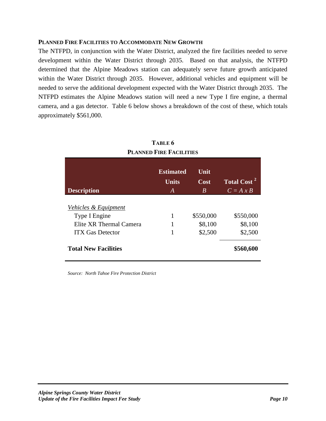#### **PLANNED FIRE FACILITIES TO ACCOMMODATE NEW GROWTH**

The NTFPD, in conjunction with the Water District, analyzed the fire facilities needed to serve development within the Water District through 2035. Based on that analysis, the NTFPD determined that the Alpine Meadows station can adequately serve future growth anticipated within the Water District through 2035. However, additional vehicles and equipment will be needed to serve the additional development expected with the Water District through 2035. The NTFPD estimates the Alpine Meadows station will need a new Type I fire engine, a thermal camera, and a gas detector. Table 6 below shows a breakdown of the cost of these, which totals approximately \$561,000.

**TABLE 6**

| TADLE V                         |                  |             |                                |  |  |  |  |
|---------------------------------|------------------|-------------|--------------------------------|--|--|--|--|
| <b>PLANNED FIRE FACILITIES</b>  |                  |             |                                |  |  |  |  |
|                                 |                  |             |                                |  |  |  |  |
|                                 | <b>Estimated</b> | Unit        |                                |  |  |  |  |
|                                 | <b>Units</b>     | <b>Cost</b> | <b>Total Cost</b> <sup>2</sup> |  |  |  |  |
| <b>Description</b>              | A                | B           | $C = A x B$                    |  |  |  |  |
|                                 |                  |             |                                |  |  |  |  |
| <u>Vehicles &amp; Equipment</u> |                  |             |                                |  |  |  |  |
| Type I Engine                   | 1                | \$550,000   | \$550,000                      |  |  |  |  |
| Elite XR Thermal Camera         |                  | \$8,100     | \$8,100                        |  |  |  |  |
| <b>ITX Gas Detector</b>         | 1                | \$2,500     | \$2,500                        |  |  |  |  |
| <b>Total New Facilities</b>     |                  |             | \$560,600                      |  |  |  |  |

*Source: North Tahoe Fire Protection District*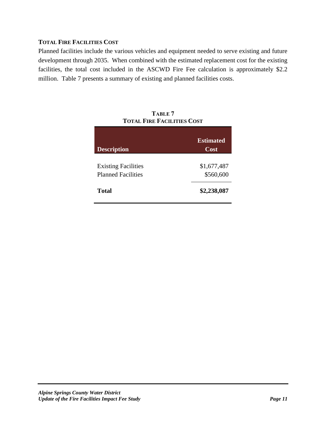# **TOTAL FIRE FACILITIES COST**

Planned facilities include the various vehicles and equipment needed to serve existing and future development through 2035. When combined with the estimated replacement cost for the existing facilities, the total cost included in the ASCWD Fire Fee calculation is approximately \$2.2 million. Table 7 presents a summary of existing and planned facilities costs.

| <b>Description</b>                                      | <b>Estimated</b><br>Cost |
|---------------------------------------------------------|--------------------------|
| <b>Existing Facilities</b><br><b>Planned Facilities</b> | \$1,677,487<br>\$560,600 |
| <b>Total</b>                                            | \$2,238,087              |

| TABLE 7                           |
|-----------------------------------|
| <b>TOTAL FIRE FACILITIES COST</b> |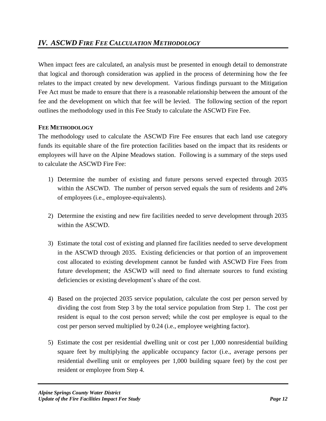When impact fees are calculated, an analysis must be presented in enough detail to demonstrate that logical and thorough consideration was applied in the process of determining how the fee relates to the impact created by new development. Various findings pursuant to the Mitigation Fee Act must be made to ensure that there is a reasonable relationship between the amount of the fee and the development on which that fee will be levied. The following section of the report outlines the methodology used in this Fee Study to calculate the ASCWD Fire Fee.

# **FEE METHODOLOGY**

The methodology used to calculate the ASCWD Fire Fee ensures that each land use category funds its equitable share of the fire protection facilities based on the impact that its residents or employees will have on the Alpine Meadows station. Following is a summary of the steps used to calculate the ASCWD Fire Fee:

- 1) Determine the number of existing and future persons served expected through 2035 within the ASCWD. The number of person served equals the sum of residents and 24% of employees (i.e., employee-equivalents).
- 2) Determine the existing and new fire facilities needed to serve development through 2035 within the ASCWD.
- 3) Estimate the total cost of existing and planned fire facilities needed to serve development in the ASCWD through 2035. Existing deficiencies or that portion of an improvement cost allocated to existing development cannot be funded with ASCWD Fire Fees from future development; the ASCWD will need to find alternate sources to fund existing deficiencies or existing development's share of the cost.
- 4) Based on the projected 2035 service population, calculate the cost per person served by dividing the cost from Step 3 by the total service population from Step 1. The cost per resident is equal to the cost person served; while the cost per employee is equal to the cost per person served multiplied by 0.24 (i.e., employee weighting factor).
- 5) Estimate the cost per residential dwelling unit or cost per 1,000 nonresidential building square feet by multiplying the applicable occupancy factor (i.e., average persons per residential dwelling unit or employees per 1,000 building square feet) by the cost per resident or employee from Step 4.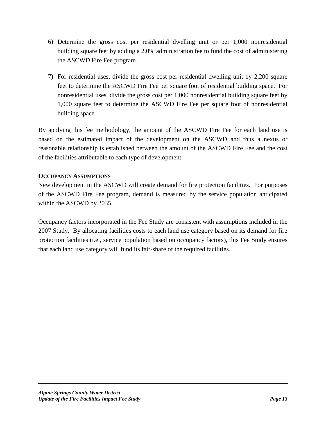- 6) Determine the gross cost per residential dwelling unit or per 1,000 nonresidential building square feet by adding a 2.0% administration fee to fund the cost of administering the ASCWD Fire Fee program.
- 7) For residential uses, divide the gross cost per residential dwelling unit by 2,200 square feet to determine the ASCWD Fire Fee per square foot of residential building space. For nonresidential uses, divide the gross cost per 1,000 nonresidential building square feet by 1,000 square feet to determine the ASCWD Fire Fee per square foot of nonresidential building space.

By applying this fee methodology, the amount of the ASCWD Fire Fee for each land use is based on the estimated impact of the development on the ASCWD and thus a nexus or reasonable relationship is established between the amount of the ASCWD Fire Fee and the cost of the facilities attributable to each type of development.

# **OCCUPANCY ASSUMPTIONS**

New development in the ASCWD will create demand for fire protection facilities. For purposes of the ASCWD Fire Fee program, demand is measured by the service population anticipated within the ASCWD by 2035.

Occupancy factors incorporated in the Fee Study are consistent with assumptions included in the 2007 Study. By allocating facilities costs to each land use category based on its demand for fire protection facilities (i.e., service population based on occupancy factors), this Fee Study ensures that each land use category will fund its fair-share of the required facilities.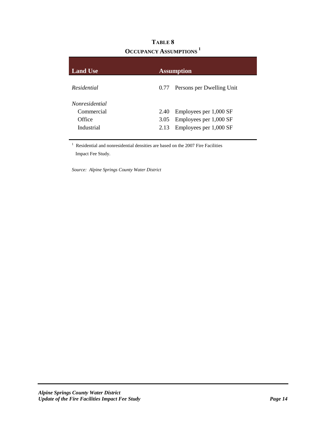| UCCUPANCY ASSUMPTIONS |      |                           |
|-----------------------|------|---------------------------|
| <b>Land Use</b>       |      | <b>Assumption</b>         |
| Residential           | 0.77 | Persons per Dwelling Unit |
| <i>Nonresidential</i> |      |                           |
| Commercial            | 2.40 | Employees per 1,000 SF    |
| Office                | 3.05 | Employees per 1,000 SF    |
| Industrial            | 2.13 | Employees per 1,000 SF    |
|                       |      |                           |

**TABLE 8 OCCUPANCY ASSUMPTIONS <sup>1</sup>**

<sup>1</sup> Residential and nonresidential densities are based on the 2007 Fire Facilities Impact Fee Study.

*Source: Alpine Springs County Water District*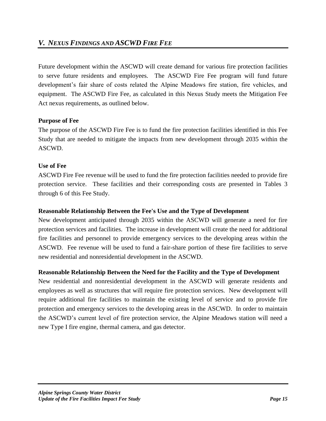Future development within the ASCWD will create demand for various fire protection facilities to serve future residents and employees. The ASCWD Fire Fee program will fund future development's fair share of costs related the Alpine Meadows fire station, fire vehicles, and equipment. The ASCWD Fire Fee, as calculated in this Nexus Study meets the Mitigation Fee Act nexus requirements, as outlined below.

## **Purpose of Fee**

The purpose of the ASCWD Fire Fee is to fund the fire protection facilities identified in this Fee Study that are needed to mitigate the impacts from new development through 2035 within the ASCWD.

#### **Use of Fee**

ASCWD Fire Fee revenue will be used to fund the fire protection facilities needed to provide fire protection service. These facilities and their corresponding costs are presented in Tables 3 through 6 of this Fee Study.

#### **Reasonable Relationship Between the Fee's Use and the Type of Development**

New development anticipated through 2035 within the ASCWD will generate a need for fire protection services and facilities. The increase in development will create the need for additional fire facilities and personnel to provide emergency services to the developing areas within the ASCWD. Fee revenue will be used to fund a fair-share portion of these fire facilities to serve new residential and nonresidential development in the ASCWD.

## **Reasonable Relationship Between the Need for the Facility and the Type of Development**

New residential and nonresidential development in the ASCWD will generate residents and employees as well as structures that will require fire protection services. New development will require additional fire facilities to maintain the existing level of service and to provide fire protection and emergency services to the developing areas in the ASCWD. In order to maintain the ASCWD's current level of fire protection service, the Alpine Meadows station will need a new Type I fire engine, thermal camera, and gas detector.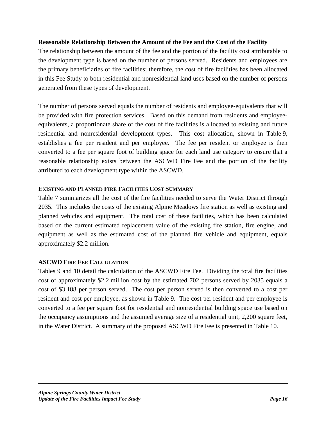#### **Reasonable Relationship Between the Amount of the Fee and the Cost of the Facility**

The relationship between the amount of the fee and the portion of the facility cost attributable to the development type is based on the number of persons served. Residents and employees are the primary beneficiaries of fire facilities; therefore, the cost of fire facilities has been allocated in this Fee Study to both residential and nonresidential land uses based on the number of persons generated from these types of development.

The number of persons served equals the number of residents and employee-equivalents that will be provided with fire protection services. Based on this demand from residents and employeeequivalents, a proportionate share of the cost of fire facilities is allocated to existing and future residential and nonresidential development types. This cost allocation, shown in Table 9, establishes a fee per resident and per employee. The fee per resident or employee is then converted to a fee per square foot of building space for each land use category to ensure that a reasonable relationship exists between the ASCWD Fire Fee and the portion of the facility attributed to each development type within the ASCWD.

#### **EXISTING AND PLANNED FIRE FACILITIES COST SUMMARY**

Table 7 summarizes all the cost of the fire facilities needed to serve the Water District through 2035. This includes the costs of the existing Alpine Meadows fire station as well as existing and planned vehicles and equipment. The total cost of these facilities, which has been calculated based on the current estimated replacement value of the existing fire station, fire engine, and equipment as well as the estimated cost of the planned fire vehicle and equipment, equals approximately \$2.2 million.

## **ASCWD FIRE FEE CALCULATION**

Tables 9 and 10 detail the calculation of the ASCWD Fire Fee. Dividing the total fire facilities cost of approximately \$2.2 million cost by the estimated 702 persons served by 2035 equals a cost of \$3,188 per person served. The cost per person served is then converted to a cost per resident and cost per employee, as shown in Table 9. The cost per resident and per employee is converted to a fee per square foot for residential and nonresidential building space use based on the occupancy assumptions and the assumed average size of a residential unit, 2,200 square feet, in the Water District. A summary of the proposed ASCWD Fire Fee is presented in Table 10.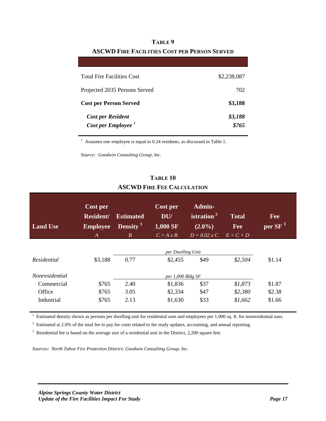| <b>Total Fire Facilities Cost</b> | \$2,238,087 |  |
|-----------------------------------|-------------|--|
| Projected 2035 Persons Served     | 702         |  |
| <b>Cost per Person Served</b>     | \$3,188     |  |
| <b>Cost per Resident</b>          | \$3,188     |  |
| Cost per Employee <sup>1</sup>    | \$765       |  |

# **TABLE 9 ASCWD FIRE FACILITIES COST PER PERSON SERVED**

 $1$  Assumes one employee is equal to 0.24 residents, as discussed in Table 1.

*Source: Goodwin Consulting Group, Inc.*

# **TABLE 10 ASCWD FIRE FEE CALCULATION**

| <b>Land Use</b>       | Cost per<br><b>Resident/</b><br><b>Employee</b><br>A | <b>Estimated</b><br>Density <sup>1</sup><br>$\boldsymbol{B}$ | Cost per<br>DU/<br>1,000 SF<br>$C = A x B$ | Admin-<br>istration $2$<br>$(2.0\%)$<br>$D = 0.02 x C$ | <b>Total</b><br>Fee<br>$E = C + D$ | Fee<br>per SF $^3$ |
|-----------------------|------------------------------------------------------|--------------------------------------------------------------|--------------------------------------------|--------------------------------------------------------|------------------------------------|--------------------|
|                       |                                                      |                                                              | per Dwelling Unit                          |                                                        |                                    |                    |
| Residential           | \$3,188                                              | 0.77                                                         | \$2,455                                    | \$49                                                   | \$2,504                            | \$1.14             |
| <i>Nonresidential</i> |                                                      |                                                              | per 1,000 Bldg SF                          |                                                        |                                    |                    |
| Commercial            | \$765                                                | 2.40                                                         | \$1,836                                    | \$37                                                   | \$1,873                            | \$1.87             |
| Office                | \$765                                                | 3.05                                                         | \$2,334                                    | \$47                                                   | \$2,380                            | \$2.38             |
| Industrial            | \$765                                                | 2.13                                                         | \$1,630                                    | \$33                                                   | \$1,662                            | \$1.66             |

 $1$  Estimated density shown as persons per dwelling unit for residential uses and employees per 1,000 sq. ft. for nonresidential uses.

 $2$  Estimated at 2.0% of the total fee to pay for costs related to fee study updates, accounting, and annual reporting.

 $3$  Residential fee is based on the average size of a residential unit in the District, 2,200 square feet.

*Sources: North Tahoe Fire Protection District; Goodwin Consulting Group, Inc.*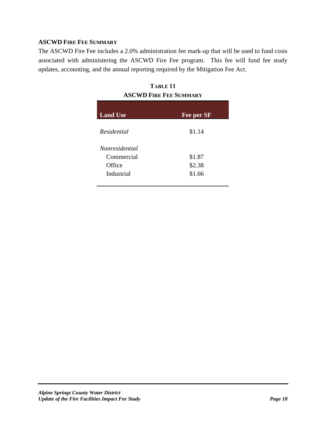# **ASCWD FIRE FEE SUMMARY**

The ASCWD Fire Fee includes a 2.0% administration fee mark-up that will be used to fund costs associated with administering the ASCWD Fire Fee program. This fee will fund fee study updates, accounting, and the annual reporting required by the Mitigation Fee Act.

| TABLE <sub>11</sub>           |  |  |
|-------------------------------|--|--|
| <b>ASCWD FIRE FEE SUMMARY</b> |  |  |

| <b>Land Use</b>       | Fee per SF |
|-----------------------|------------|
| Residential           | \$1.14     |
| <i>Nonresidential</i> |            |
| Commercial            | \$1.87     |
| Office                | \$2.38     |
| Industrial            | \$1.66     |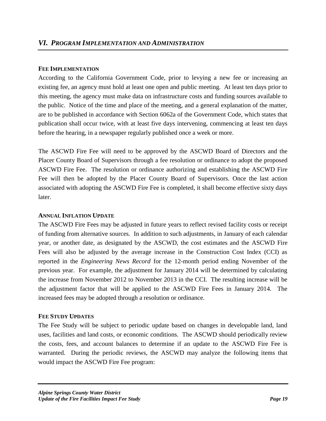#### **FEE IMPLEMENTATION**

According to the California Government Code, prior to levying a new fee or increasing an existing fee, an agency must hold at least one open and public meeting. At least ten days prior to this meeting, the agency must make data on infrastructure costs and funding sources available to the public. Notice of the time and place of the meeting, and a general explanation of the matter, are to be published in accordance with Section 6062a of the Government Code, which states that publication shall occur twice, with at least five days intervening, commencing at least ten days before the hearing, in a newspaper regularly published once a week or more.

The ASCWD Fire Fee will need to be approved by the ASCWD Board of Directors and the Placer County Board of Supervisors through a fee resolution or ordinance to adopt the proposed ASCWD Fire Fee. The resolution or ordinance authorizing and establishing the ASCWD Fire Fee will then be adopted by the Placer County Board of Supervisors. Once the last action associated with adopting the ASCWD Fire Fee is completed, it shall become effective sixty days later.

#### **ANNUAL INFLATION UPDATE**

The ASCWD Fire Fees may be adjusted in future years to reflect revised facility costs or receipt of funding from alternative sources. In addition to such adjustments, in January of each calendar year, or another date, as designated by the ASCWD, the cost estimates and the ASCWD Fire Fees will also be adjusted by the average increase in the Construction Cost Index (CCI) as reported in the *Engineering News Record* for the 12-month period ending November of the previous year. For example, the adjustment for January 2014 will be determined by calculating the increase from November 2012 to November 2013 in the CCI. The resulting increase will be the adjustment factor that will be applied to the ASCWD Fire Fees in January 2014. The increased fees may be adopted through a resolution or ordinance.

#### **FEE STUDY UPDATES**

The Fee Study will be subject to periodic update based on changes in developable land, land uses, facilities and land costs, or economic conditions. The ASCWD should periodically review the costs, fees, and account balances to determine if an update to the ASCWD Fire Fee is warranted. During the periodic reviews, the ASCWD may analyze the following items that would impact the ASCWD Fire Fee program: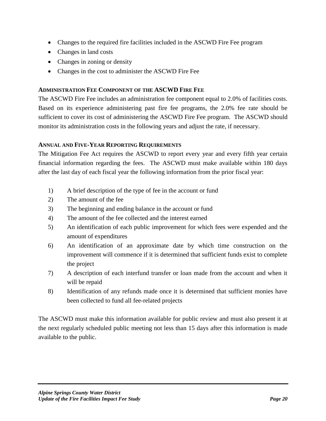- Changes to the required fire facilities included in the ASCWD Fire Fee program
- Changes in land costs
- Changes in zoning or density
- Changes in the cost to administer the ASCWD Fire Fee

#### **ADMINISTRATION FEE COMPONENT OF THE ASCWD FIRE FEE**

The ASCWD Fire Fee includes an administration fee component equal to 2.0% of facilities costs. Based on its experience administering past fire fee programs, the 2.0% fee rate should be sufficient to cover its cost of administering the ASCWD Fire Fee program. The ASCWD should monitor its administration costs in the following years and adjust the rate, if necessary.

#### **ANNUAL AND FIVE-YEAR REPORTING REQUIREMENTS**

The Mitigation Fee Act requires the ASCWD to report every year and every fifth year certain financial information regarding the fees. The ASCWD must make available within 180 days after the last day of each fiscal year the following information from the prior fiscal year:

- 1) A brief description of the type of fee in the account or fund
- 2) The amount of the fee
- 3) The beginning and ending balance in the account or fund
- 4) The amount of the fee collected and the interest earned
- 5) An identification of each public improvement for which fees were expended and the amount of expenditures
- 6) An identification of an approximate date by which time construction on the improvement will commence if it is determined that sufficient funds exist to complete the project
- 7) A description of each interfund transfer or loan made from the account and when it will be repaid
- 8) Identification of any refunds made once it is determined that sufficient monies have been collected to fund all fee-related projects

The ASCWD must make this information available for public review and must also present it at the next regularly scheduled public meeting not less than 15 days after this information is made available to the public.